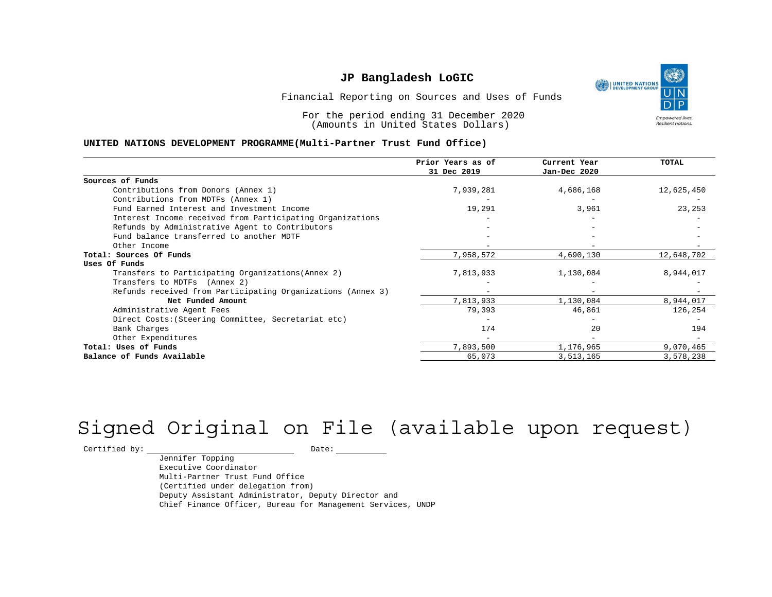

Financial Reporting on Sources and Uses of Funds

For the period ending 31 December 2020 (Amounts in United States Dollars)

#### **UNITED NATIONS DEVELOPMENT PROGRAMME(Multi-Partner Trust Fund Office)**

|                                                             | Prior Years as of<br>31 Dec 2019 | Current Year<br>Jan-Dec 2020 | <b>TOTAL</b> |
|-------------------------------------------------------------|----------------------------------|------------------------------|--------------|
| Sources of Funds                                            |                                  |                              |              |
| Contributions from Donors (Annex 1)                         | 7,939,281                        | 4,686,168                    | 12,625,450   |
| Contributions from MDTFs (Annex 1)                          |                                  |                              |              |
| Fund Earned Interest and Investment Income                  | 19,291                           | 3,961                        | 23,253       |
| Interest Income received from Participating Organizations   |                                  |                              |              |
| Refunds by Administrative Agent to Contributors             |                                  |                              |              |
| Fund balance transferred to another MDTF                    |                                  |                              |              |
| Other Income                                                |                                  |                              |              |
| Total: Sources Of Funds                                     | 7,958,572                        | 4,690,130                    | 12,648,702   |
| Uses Of Funds                                               |                                  |                              |              |
| Transfers to Participating Organizations (Annex 2)          | 7,813,933                        | 1,130,084                    | 8,944,017    |
| Transfers to MDTFs (Annex 2)                                |                                  |                              |              |
| Refunds received from Participating Organizations (Annex 3) |                                  | $\overline{\phantom{0}}$     |              |
| Net Funded Amount                                           | 7,813,933                        | 1,130,084                    | 8,944,017    |
| Administrative Agent Fees                                   | 79,393                           | 46,861                       | 126,254      |
| Direct Costs: (Steering Committee, Secretariat etc)         |                                  |                              |              |
| Bank Charges                                                | 174                              | 20                           | 194          |
| Other Expenditures                                          |                                  |                              |              |
| Total: Uses of Funds                                        | 7,893,500                        | 1,176,965                    | 9,070,465    |
| Balance of Funds Available                                  | 65,073                           | 3,513,165                    | 3,578,238    |

# Signed Original on File (available upon request)

 $\begin{tabular}{c} \multicolumn{2}{c}{{\texttt{Certified by:}}}} \quad \quad \texttt{Date:} \end{tabular}$ 

Jennifer Topping Executive Coordinator Multi-Partner Trust Fund Office (Certified under delegation from) Deputy Assistant Administrator, Deputy Director and Chief Finance Officer, Bureau for Management Services, UNDP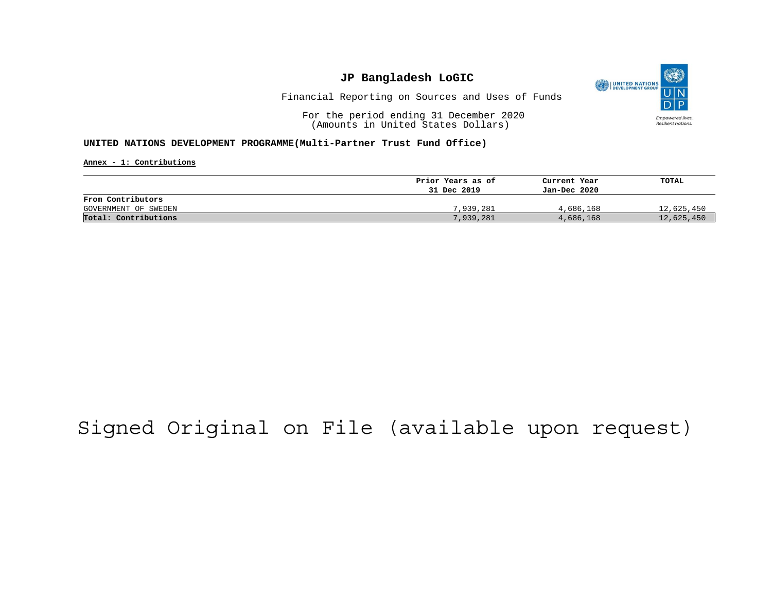

Financial Reporting on Sources and Uses of Funds

For the period ending 31 December 2020 (Amounts in United States Dollars)

#### **UNITED NATIONS DEVELOPMENT PROGRAMME(Multi-Partner Trust Fund Office)**

**Annex - 1: Contributions**

|                      | Prior Years as of | Current Year | TOTAL      |
|----------------------|-------------------|--------------|------------|
|                      | 31 Dec 2019       | Jan-Dec 2020 |            |
| From Contributors    |                   |              |            |
| GOVERNMENT OF SWEDEN | 7,939,281         | 4,686,168    | 12,625,450 |
| Total: Contributions | 7,939,281         | 4,686,168    | 12,625,450 |

## Signed Original on File (available upon request)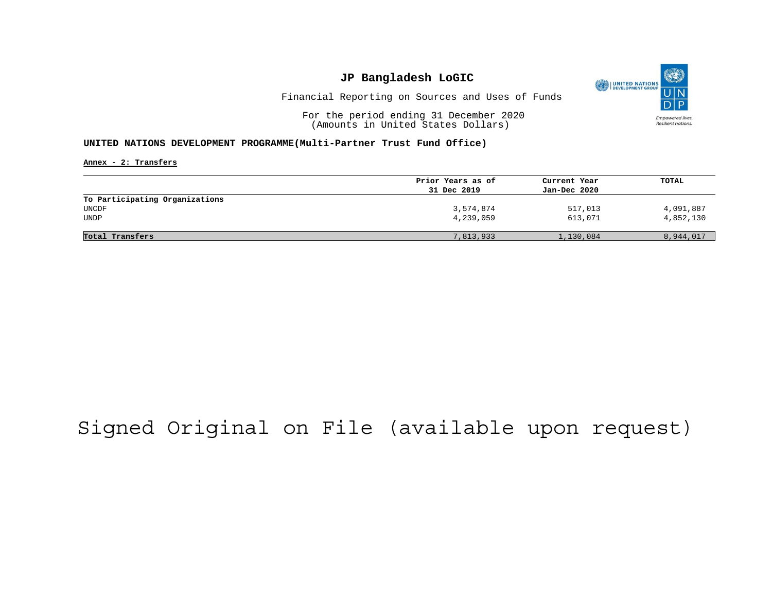

Financial Reporting on Sources and Uses of Funds

For the period ending 31 December 2020 (Amounts in United States Dollars)

#### **UNITED NATIONS DEVELOPMENT PROGRAMME(Multi-Partner Trust Fund Office)**

**Annex - 2: Transfers**

|                                | Prior Years as of | Current Year | TOTAL     |
|--------------------------------|-------------------|--------------|-----------|
|                                | 31 Dec 2019       | Jan-Dec 2020 |           |
| To Participating Organizations |                   |              |           |
| UNCDF                          | 3,574,874         | 517,013      | 4,091,887 |
| UNDP                           | 4,239,059         | 613,071      | 4,852,130 |
|                                |                   |              |           |
| Total Transfers                | 7,813,933         | 1,130,084    | 8,944,017 |
|                                |                   |              |           |

## Signed Original on File (available upon request)